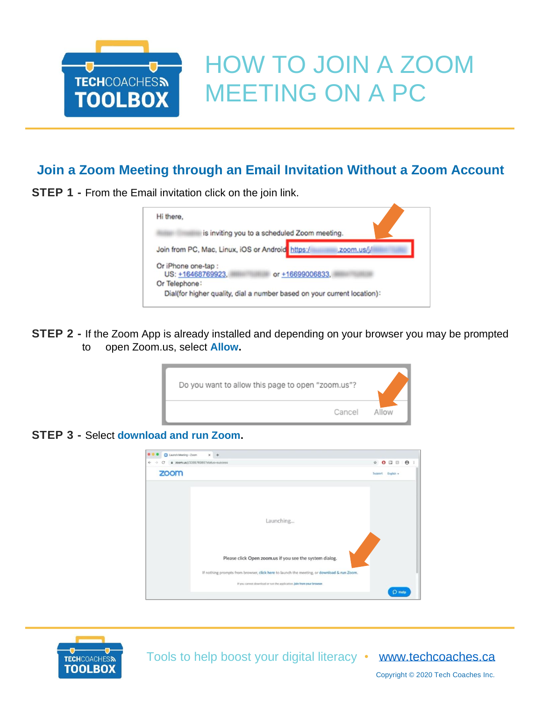

## HOW TO JOIN A ZOOM MEETING ON A PC

## **Join a Zoom Meeting through an Email Invitation Without a Zoom Account**

**STEP 1 - From the Email invitation click on the join link.** 



**STEP 2 -** If the Zoom App is already installed and depending on your browser you may be prompted to open Zoom.us, select **Allow.**

| Do you want to allow this page to open "zoom.us"? |       |
|---------------------------------------------------|-------|
| Cancel                                            | Allow |

**STEP 3 -** Select **download and run Zoom.**

|      | @ zoom.us/j/338576985?status=success                                                       | $\hat{\mathbf{x}} \mathbf{0} \mathbf{0} \mathbf{1} \mathbf{0} \mathbf{0}$ |  |  |  |
|------|--------------------------------------------------------------------------------------------|---------------------------------------------------------------------------|--|--|--|
| zoom |                                                                                            | Support English -                                                         |  |  |  |
|      | Launching                                                                                  |                                                                           |  |  |  |
|      | Please click Open zoom.us if you see the system dialog.                                    |                                                                           |  |  |  |
|      |                                                                                            |                                                                           |  |  |  |
|      | If nothing prompts from browser, click here to launch the meeting, or download & run Zoom. |                                                                           |  |  |  |



Tools to help boost your digital literacy • [www.techcoaches.ca](http://www.techcoaches.ca/)

Copyright © 2020 Tech Coaches Inc.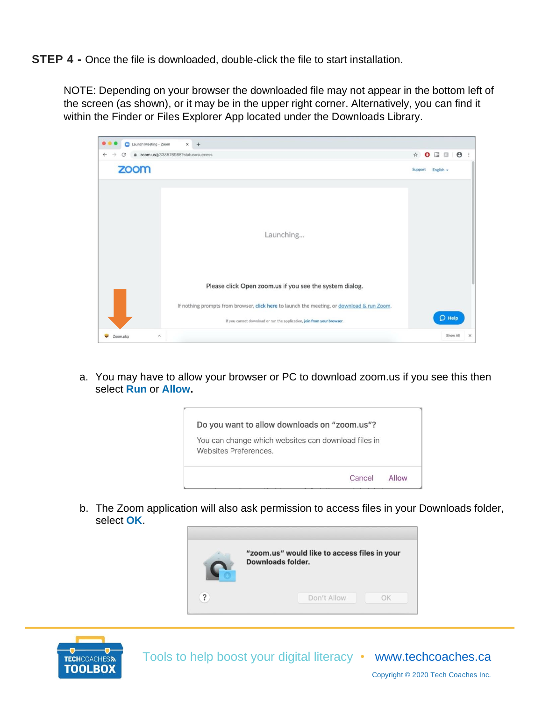**STEP 4 -** Once the file is downloaded, double-click the file to start installation.

NOTE: Depending on your browser the downloaded file may not appear in the bottom left of the screen (as shown), or it may be in the upper right corner. Alternatively, you can find it within the Finder or Files Explorer App located under the Downloads Library.



a. You may have to allow your browser or PC to download zoom.us if you see this then select **Run** or **Allow.**



b. The Zoom application will also ask permission to access files in your Downloads folder, select **OK**.



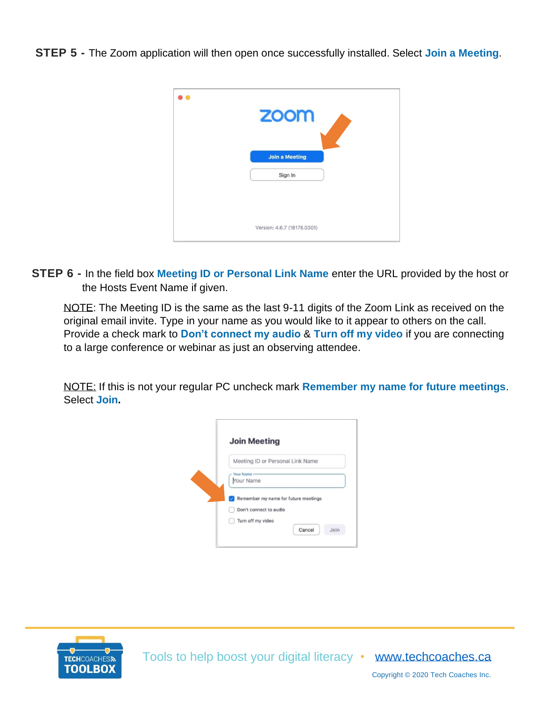**STEP 5 -** The Zoom application will then open once successfully installed. Select **Join a Meeting**.



**STEP 6 -** In the field box **Meeting ID or Personal Link Name** enter the URL provided by the host or the Hosts Event Name if given.

NOTE: The Meeting ID is the same as the last 9-11 digits of the Zoom Link as received on the original email invite. Type in your name as you would like to it appear to others on the call. Provide a check mark to **Don't connect my audio** & **Turn off my video** if you are connecting to a large conference or webinar as just an observing attendee.

NOTE: If this is not your regular PC uncheck mark **Remember my name for future meetings**. Select **Join.**

| Meeting ID or Personal Link Name                               |
|----------------------------------------------------------------|
| Your Name<br>Your Name                                         |
| Remember my name for future meetings<br>Don't connect to audio |



Copyright © 2020 Tech Coaches Inc.